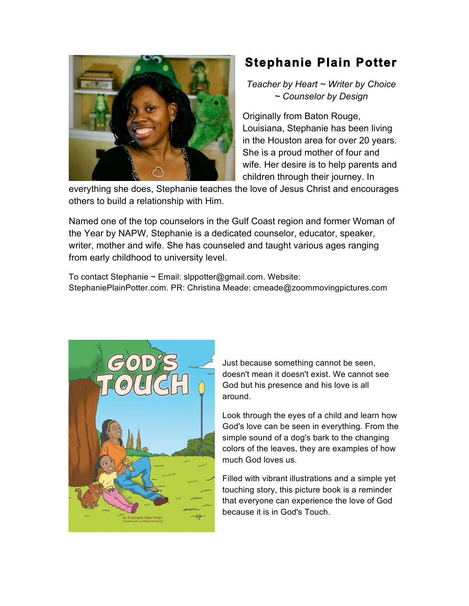

## **Stephanie Plain Potter**

*Teacher by Heart ~ Writer by Choice ~ Counselor by Design*

Originally from Baton Rouge, Louisiana, Stephanie has been living in the Houston area for over 20 years. She is a proud mother of four and wife. Her desire is to help parents and children through their journey. In

everything she does, Stephanie teaches the love of Jesus Christ and encourages others to build a relationship with Him.

Named one of the top counselors in the Gulf Coast region and former Woman of the Year by NAPW, Stephanie is a dedicated counselor, educator, speaker, writer, mother and wife. She has counseled and taught various ages ranging from early childhood to university level.

To contact Stephanie ~ Email: slppotter@gmail.com. Website: StephaniePlainPotter.com. PR: Christina Meade: cmeade@zoommovingpictures.com



Just because something cannot be seen, doesn't mean it doesn't exist. We cannot see God but his presence and his love is all around.

Look through the eyes of a child and learn how God's love can be seen in everything. From the simple sound of a dog's bark to the changing colors of the leaves, they are examples of how much God loves us.

Filled with vibrant illustrations and a simple yet touching story, this picture book is a reminder that everyone can experience the love of God because it is in God's Touch.